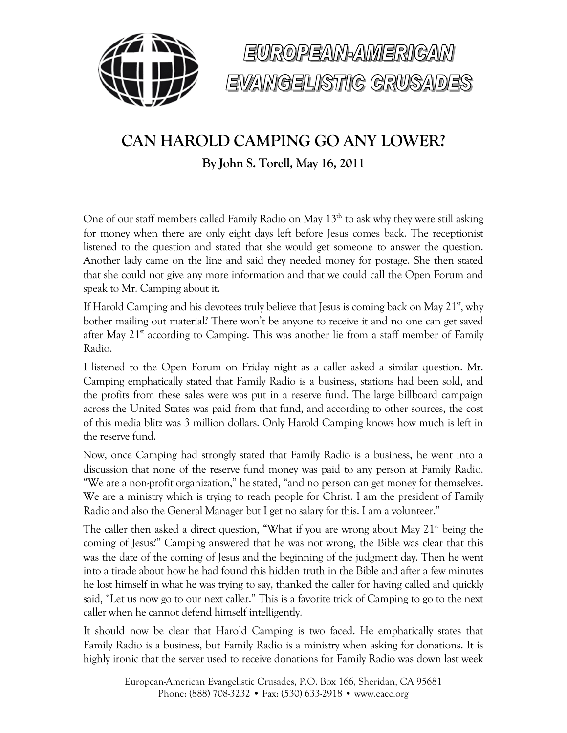



# **CAN HAROLD CAMPING GO ANY LOWER?**

**By John S. Torell, May 16, 2011**

One of our staff members called Family Radio on May  $13<sup>th</sup>$  to ask why they were still asking for money when there are only eight days left before Jesus comes back. The receptionist listened to the question and stated that she would get someone to answer the question. Another lady came on the line and said they needed money for postage. She then stated that she could not give any more information and that we could call the Open Forum and speak to Mr. Camping about it.

If Harold Camping and his devotees truly believe that Jesus is coming back on May  $21<sup>st</sup>$ , why bother mailing out material? There won't be anyone to receive it and no one can get saved after May  $21<sup>st</sup>$  according to Camping. This was another lie from a staff member of Family Radio.

I listened to the Open Forum on Friday night as a caller asked a similar question. Mr. Camping emphatically stated that Family Radio is a business, stations had been sold, and the profits from these sales were was put in a reserve fund. The large billboard campaign across the United States was paid from that fund, and according to other sources, the cost of this media blitz was 3 million dollars. Only Harold Camping knows how much is left in the reserve fund.

Now, once Camping had strongly stated that Family Radio is a business, he went into a discussion that none of the reserve fund money was paid to any person at Family Radio. "We are a non-profit organization," he stated, "and no person can get money for themselves. We are a ministry which is trying to reach people for Christ. I am the president of Family Radio and also the General Manager but I get no salary for this. I am a volunteer."

The caller then asked a direct question, "What if you are wrong about May  $21<sup>st</sup>$  being the coming of Jesus?" Camping answered that he was not wrong, the Bible was clear that this was the date of the coming of Jesus and the beginning of the judgment day. Then he went into a tirade about how he had found this hidden truth in the Bible and after a few minutes he lost himself in what he was trying to say, thanked the caller for having called and quickly said, "Let us now go to our next caller." This is a favorite trick of Camping to go to the next caller when he cannot defend himself intelligently.

It should now be clear that Harold Camping is two faced. He emphatically states that Family Radio is a business, but Family Radio is a ministry when asking for donations. It is highly ironic that the server used to receive donations for Family Radio was down last week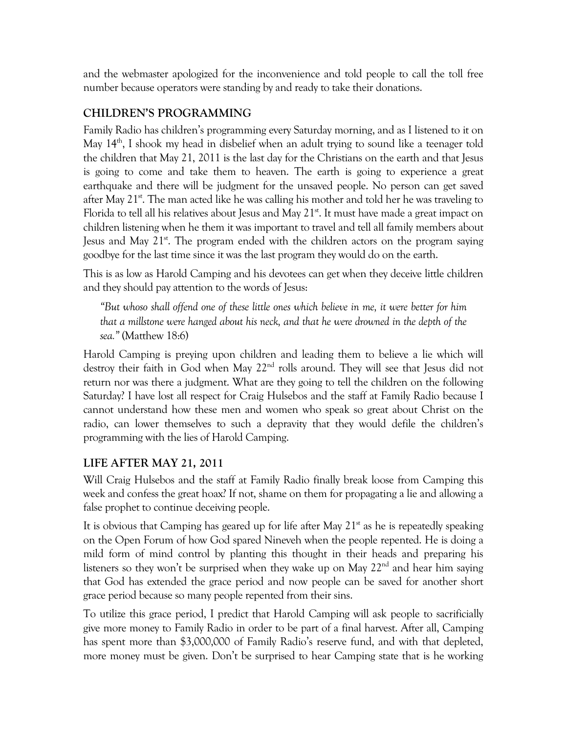and the webmaster apologized for the inconvenience and told people to call the toll free number because operators were standing by and ready to take their donations.

#### **CHILDREN'S PROGRAMMING**

Family Radio has children's programming every Saturday morning, and as I listened to it on May  $14<sup>th</sup>$ , I shook my head in disbelief when an adult trying to sound like a teenager told the children that May 21, 2011 is the last day for the Christians on the earth and that Jesus is going to come and take them to heaven. The earth is going to experience a great earthquake and there will be judgment for the unsaved people. No person can get saved after May  $21^{st}$ . The man acted like he was calling his mother and told her he was traveling to Florida to tell all his relatives about Jesus and May  $21<sup>st</sup>$ . It must have made a great impact on children listening when he them it was important to travel and tell all family members about Jesus and May 21<sup>st</sup>. The program ended with the children actors on the program saying goodbye for the last time since it was the last program they would do on the earth.

This is as low as Harold Camping and his devotees can get when they deceive little children and they should pay attention to the words of Jesus:

*"But whoso shall offend one of these little ones which believe in me, it were better for him that a millstone were hanged about his neck, and that he were drowned in the depth of the sea."* (Matthew 18:6)

Harold Camping is preying upon children and leading them to believe a lie which will destroy their faith in God when May 22<sup>nd</sup> rolls around. They will see that Jesus did not return nor was there a judgment. What are they going to tell the children on the following Saturday? I have lost all respect for Craig Hulsebos and the staff at Family Radio because I cannot understand how these men and women who speak so great about Christ on the radio, can lower themselves to such a depravity that they would defile the children's programming with the lies of Harold Camping.

### **LIFE AFTER MAY 21, 2011**

Will Craig Hulsebos and the staff at Family Radio finally break loose from Camping this week and confess the great hoax? If not, shame on them for propagating a lie and allowing a false prophet to continue deceiving people.

It is obvious that Camping has geared up for life after May  $21<sup>st</sup>$  as he is repeatedly speaking on the Open Forum of how God spared Nineveh when the people repented. He is doing a mild form of mind control by planting this thought in their heads and preparing his listeners so they won't be surprised when they wake up on May 22<sup>nd</sup> and hear him saying that God has extended the grace period and now people can be saved for another short grace period because so many people repented from their sins.

To utilize this grace period, I predict that Harold Camping will ask people to sacrificially give more money to Family Radio in order to be part of a final harvest. After all, Camping has spent more than \$3,000,000 of Family Radio's reserve fund, and with that depleted, more money must be given. Don't be surprised to hear Camping state that is he working